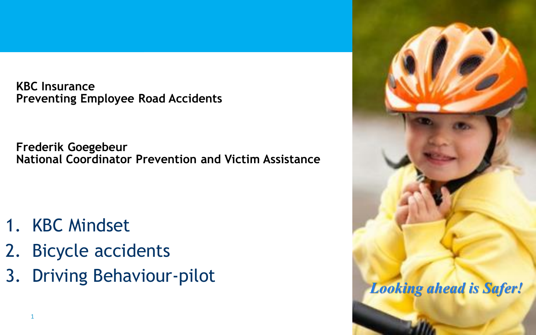**KBC Insurance Preventing Employee Road Accidents**

**Frederik Goegebeur National Coordinator Prevention and Victim Assistance**

- 1. KBC Mindset
- 2. Bicycle accidents
- 3. Driving Behaviour-pilot

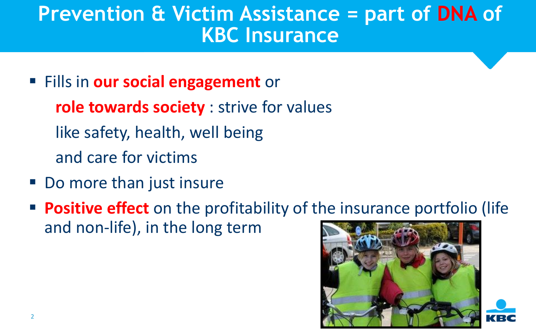### **Prevention & Victim Assistance = part of DNA of KBC Insurance**

- Fills in **our social engagement** or **role towards society** : strive for values like safety, health, well being and care for victims
- Do more than just insure
- **Positive effect** on the profitability of the insurance portfolio (life and non-life), in the long term





2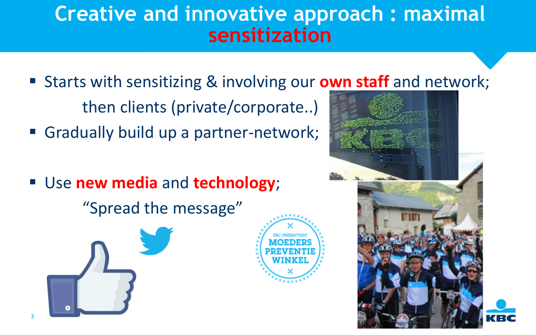### **Creative and innovative approach : maximal sensitization**

- Starts with sensitizing & involving our **own staff** and [netw](http://www.google.be/url?sa=i&rct=j&q=&esrc=s&frm=1&source=images&cd=&cad=rja&uact=8&docid=7qsrtjbOU02hnM&tbnid=hriq9SULQ8VLgM:&ved=0CAUQjRw&url=http://www.nieuwsblad.be/article/detail.aspx?articleid%3DDMF20130911_00736435&ei=9jupU7jqAuTH0QWw44HwAg&bvm=bv.69620078,d.d2k&psig=AFQjCNFyzsGP48euPh_Xfen3-FFtN_d_gA&ust=1403686239920412)ork; then clients (private/corporate..)
- Gradually build up a partner-network;
- Use **new media** and **technology**;

"Spread the message"





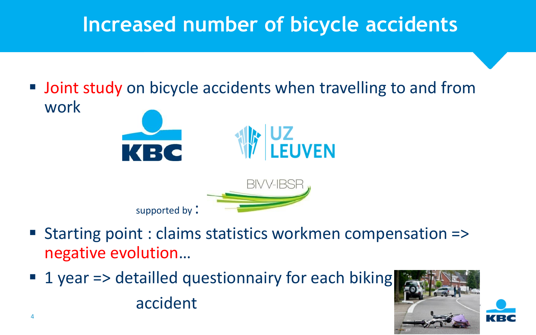# **Increased number of bicycle accidents**

**Joint study on bicycle accidents when travelling to and from** work



supported by:

- Starting point : claims statistics workmen compensation => negative evolution…
- 1 year => detailled questionnairy for each biking accident

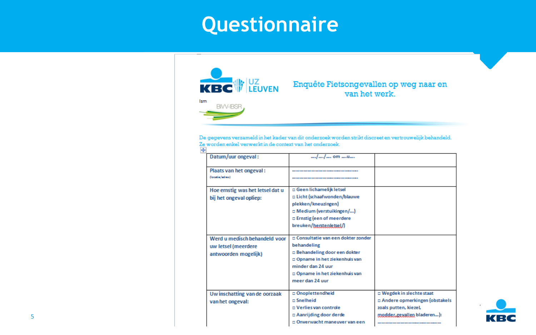## **Questionnaire**



□ Onverwacht maneuver van een

KI EK

5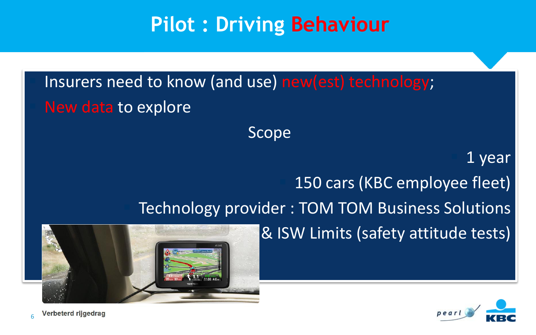# **Pilot : Driving Behaviour**

 Insurers need to know (and use) new(est) technology; New data to explore

Scope

### 1 year

150 cars (KBC employee fleet)

Technology provider : TOM TOM Business Solutions

& ISW Limits (safety attitude tests)



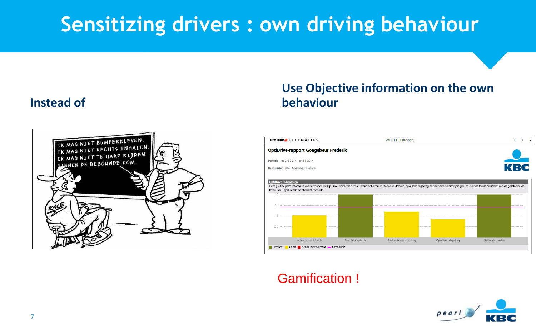# **Sensitizing drivers : own driving behaviour**

#### **Instead of**



#### **Use Objective information on the own behaviour**



#### Gamification !